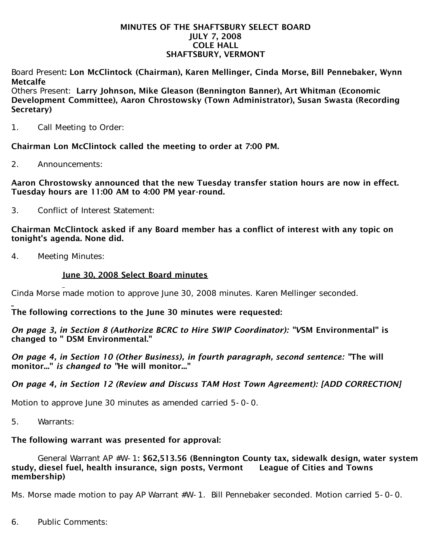#### MINUTES OF THE SHAFTSBURY SELECT BOARD JULY 7, 2008 COLE HALL SHAFTSBURY, VERMONT

Board Present: Lon McClintock (Chairman), Karen Mellinger, Cinda Morse, Bill Pennebaker, Wynn Metcalfe

Others Present: Larry Johnson, Mike Gleason (Bennington Banner), Art Whitman (Economic Development Committee), Aaron Chrostowsky (Town Administrator), Susan Swasta (Recording Secretary)

1. Call Meeting to Order:

Chairman Lon McClintock called the meeting to order at 7:00 PM.

2. Announcements:

Aaron Chrostowsky announced that the new Tuesday transfer station hours are now in effect. Tuesday hours are 11:00 AM to 4:00 PM year-round.

3. Conflict of Interest Statement:

Chairman McClintock asked if any Board member has a conflict of interest with any topic on tonight's agenda. None did.

4. Meeting Minutes:

### June 30, 2008 Select Board minutes

Cinda Morse made motion to approve June 30, 2008 minutes. Karen Mellinger seconded.

The following corrections to the June 30 minutes were requested:

*On page 3, in Section 8 (Authorize BCRC to Hire SWIP Coordinator): "V*SM Environmental" is changed to " DSM Environmental."

*On page 4, in Section 10 (Other Business), in fourth paragraph, second sentence: "*The will monitor..." *is changed to "*He will monitor..."

## *On page 4, in Section 12 (Review and Discuss TAM Host Town Agreement): [ADD CORRECTION]*

Motion to approve June 30 minutes as amended carried 5-0-0.

5. Warrants:

# The following warrant was presented for approval:

 General Warrant AP #W-1: \$62,513.56 (Bennington County tax, sidewalk design, water system study, diesel fuel, health insurance, sign posts, Vermont League of Cities and Towns membership)

Ms. Morse made motion to pay AP Warrant #W-1. Bill Pennebaker seconded. Motion carried 5-0-0.

6. Public Comments: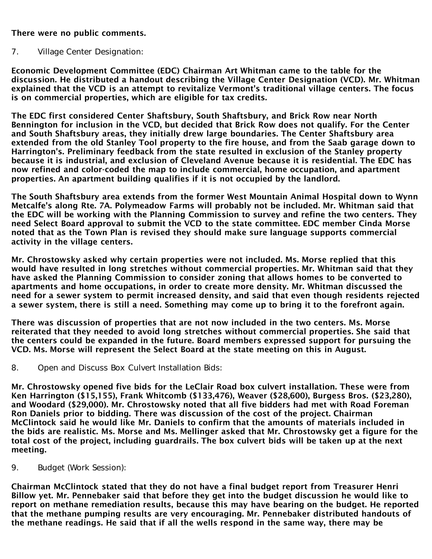### There were no public comments.

### 7. Village Center Designation:

Economic Development Committee (EDC) Chairman Art Whitman came to the table for the discussion. He distributed a handout describing the Village Center Designation (VCD). Mr. Whitman explained that the VCD is an attempt to revitalize Vermont's traditional village centers. The focus is on commercial properties, which are eligible for tax credits.

The EDC first considered Center Shaftsbury, South Shaftsbury, and Brick Row near North Bennington for inclusion in the VCD, but decided that Brick Row does not qualify. For the Center and South Shaftsbury areas, they initially drew large boundaries. The Center Shaftsbury area extended from the old Stanley Tool property to the fire house, and from the Saab garage down to Harrington's. Preliminary feedback from the state resulted in exclusion of the Stanley property because it is industrial, and exclusion of Cleveland Avenue because it is residential. The EDC has now refined and color-coded the map to include commercial, home occupation, and apartment properties. An apartment building qualifies if it is not occupied by the landlord.

The South Shaftsbury area extends from the former West Mountain Animal Hospital down to Wynn Metcalfe's along Rte. 7A. Polymeadow Farms will probably not be included. Mr. Whitman said that the EDC will be working with the Planning Commission to survey and refine the two centers. They need Select Board approval to submit the VCD to the state committee. EDC member Cinda Morse noted that as the Town Plan is revised they should make sure language supports commercial activity in the village centers.

Mr. Chrostowsky asked why certain properties were not included. Ms. Morse replied that this would have resulted in long stretches without commercial properties. Mr. Whitman said that they have asked the Planning Commission to consider zoning that allows homes to be converted to apartments and home occupations, in order to create more density. Mr. Whitman discussed the need for a sewer system to permit increased density, and said that even though residents rejected a sewer system, there is still a need. Something may come up to bring it to the forefront again.

There was discussion of properties that are not now included in the two centers. Ms. Morse reiterated that they needed to avoid long stretches without commercial properties. She said that the centers could be expanded in the future. Board members expressed support for pursuing the VCD. Ms. Morse will represent the Select Board at the state meeting on this in August.

8. Open and Discuss Box Culvert Installation Bids:

Mr. Chrostowsky opened five bids for the LeClair Road box culvert installation. These were from Ken Harrington (\$15,155), Frank Whitcomb (\$133,476), Weaver (\$28,600), Burgess Bros. (\$23,280), and Woodard (\$29,000). Mr. Chrostowsky noted that all five bidders had met with Road Foreman Ron Daniels prior to bidding. There was discussion of the cost of the project. Chairman McClintock said he would like Mr. Daniels to confirm that the amounts of materials included in the bids are realistic. Ms. Morse and Ms. Mellinger asked that Mr. Chrostowsky get a figure for the total cost of the project, including guardrails. The box culvert bids will be taken up at the next meeting.

9. Budget (Work Session):

Chairman McClintock stated that they do not have a final budget report from Treasurer Henri Billow yet. Mr. Pennebaker said that before they get into the budget discussion he would like to report on methane remediation results, because this may have bearing on the budget. He reported that the methane pumping results are very encouraging. Mr. Pennebaker distributed handouts of the methane readings. He said that if all the wells respond in the same way, there may be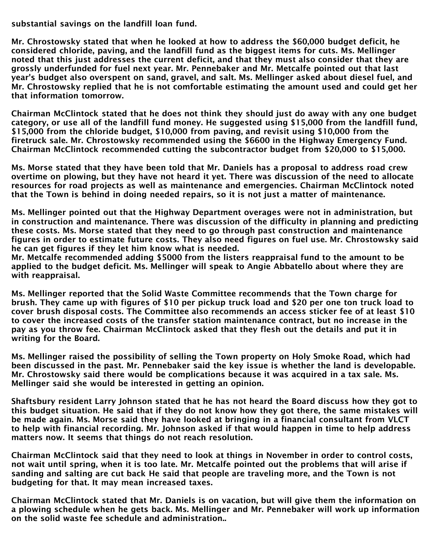substantial savings on the landfill loan fund.

Mr. Chrostowsky stated that when he looked at how to address the \$60,000 budget deficit, he considered chloride, paving, and the landfill fund as the biggest items for cuts. Ms. Mellinger noted that this just addresses the current deficit, and that they must also consider that they are grossly underfunded for fuel next year. Mr. Pennebaker and Mr. Metcalfe pointed out that last year's budget also overspent on sand, gravel, and salt. Ms. Mellinger asked about diesel fuel, and Mr. Chrostowsky replied that he is not comfortable estimating the amount used and could get her that information tomorrow.

Chairman McClintock stated that he does not think they should just do away with any one budget category, or use all of the landfill fund money. He suggested using \$15,000 from the landfill fund, \$15,000 from the chloride budget, \$10,000 from paving, and revisit using \$10,000 from the firetruck sale. Mr. Chrostowsky recommended using the \$6600 in the Highway Emergency Fund. Chairman McClintock recommended cutting the subcontractor budget from \$20,000 to \$15,000.

Ms. Morse stated that they have been told that Mr. Daniels has a proposal to address road crew overtime on plowing, but they have not heard it yet. There was discussion of the need to allocate resources for road projects as well as maintenance and emergencies. Chairman McClintock noted that the Town is behind in doing needed repairs, so it is not just a matter of maintenance.

Ms. Mellinger pointed out that the Highway Department overages were not in administration, but in construction and maintenance. There was discussion of the difficulty in planning and predicting these costs. Ms. Morse stated that they need to go through past construction and maintenance figures in order to estimate future costs. They also need figures on fuel use. Mr. Chrostowsky said he can get figures if they let him know what is needed.

Mr. Metcalfe recommended adding \$5000 from the listers reappraisal fund to the amount to be applied to the budget deficit. Ms. Mellinger will speak to Angie Abbatello about where they are with reappraisal.

Ms. Mellinger reported that the Solid Waste Committee recommends that the Town charge for brush. They came up with figures of \$10 per pickup truck load and \$20 per one ton truck load to cover brush disposal costs. The Committee also recommends an access sticker fee of at least \$10 to cover the increased costs of the transfer station maintenance contract, but no increase in the pay as you throw fee. Chairman McClintock asked that they flesh out the details and put it in writing for the Board.

Ms. Mellinger raised the possibility of selling the Town property on Holy Smoke Road, which had been discussed in the past. Mr. Pennebaker said the key issue is whether the land is developable. Mr. Chrostowsky said there would be complications because it was acquired in a tax sale. Ms. Mellinger said she would be interested in getting an opinion.

Shaftsbury resident Larry Johnson stated that he has not heard the Board discuss how they got to this budget situation. He said that if they do not know how they got there, the same mistakes will be made again. Ms. Morse said they have looked at bringing in a financial consultant from VLCT to help with financial recording. Mr. Johnson asked if that would happen in time to help address matters now. It seems that things do not reach resolution.

Chairman McClintock said that they need to look at things in November in order to control costs, not wait until spring, when it is too late. Mr. Metcalfe pointed out the problems that will arise if sanding and salting are cut back He said that people are traveling more, and the Town is not budgeting for that. It may mean increased taxes.

Chairman McClintock stated that Mr. Daniels is on vacation, but will give them the information on a plowing schedule when he gets back. Ms. Mellinger and Mr. Pennebaker will work up information on the solid waste fee schedule and administration..